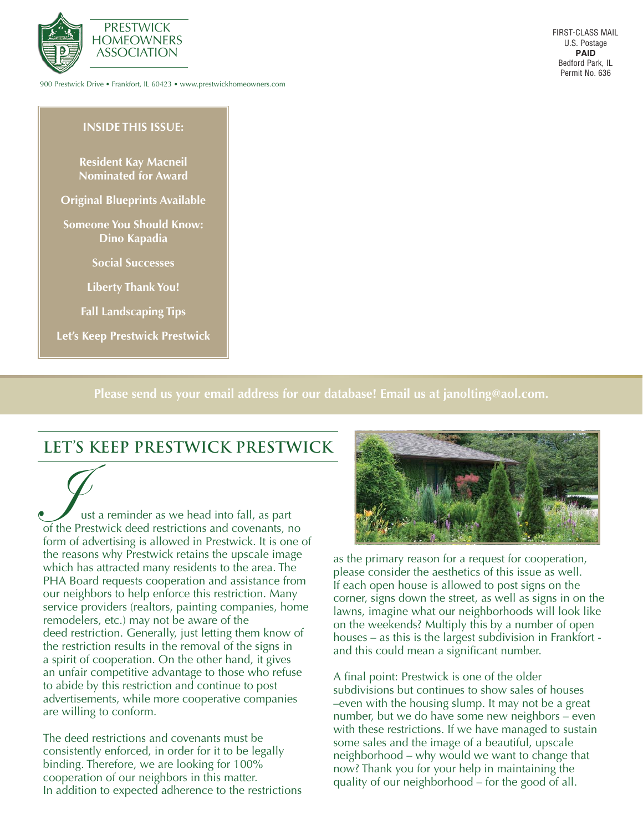

900 Prestwick Drive • Frankfort, IL 60423 • www.prestwickhomeowners.com

FIRST-CLASS MAIL U.S. Postage **PAID** Bedford Park, IL Permit No. 636

#### **INSIDE THIS ISSUE:**

**Resident Kay Macneil Nominated for Award**

**Original Blueprints Available**

**Someone You Should Know: Dino Kapadia**

**Social Successes**

**Liberty Thank You!**

**Fall Landscaping Tips**

**Let's Keep Prestwick Prestwick**

**Please send us your email address for our database! Email us at janolting@aol.com.**

#### **LET'S KEEP PRESTWICK PRESTWICK**

ust a reminder as we head into fall, as part of the Prestwick deed restrictions and covenants, no form of advertising is allowed in Prestwick. It is one of the reasons why Prestwick retains the upscale image which has attracted many residents to the area. The PHA Board requests cooperation and assistance from our neighbors to help enforce this restriction. Many service providers (realtors, painting companies, home remodelers, etc.) may not be aware of the deed restriction. Generally, just letting them know of the restriction results in the removal of the signs in a spirit of cooperation. On the other hand, it gives an unfair competitive advantage to those who refuse to abide by this restriction and continue to post advertisements, while more cooperative companies are willing to conform.

The deed restrictions and covenants must be consistently enforced, in order for it to be legally binding. Therefore, we are looking for 100% cooperation of our neighbors in this matter. In addition to expected adherence to the restrictions



as the primary reason for a request for cooperation, please consider the aesthetics of this issue as well. If each open house is allowed to post signs on the corner, signs down the street, as well as signs in on the lawns, imagine what our neighborhoods will look like on the weekends? Multiply this by a number of open houses – as this is the largest subdivision in Frankfort and this could mean a significant number.

A final point: Prestwick is one of the older subdivisions but continues to show sales of houses –even with the housing slump. It may not be a great number, but we do have some new neighbors – even with these restrictions. If we have managed to sustain some sales and the image of a beautiful, upscale neighborhood – why would we want to change that now? Thank you for your help in maintaining the quality of our neighborhood – for the good of all.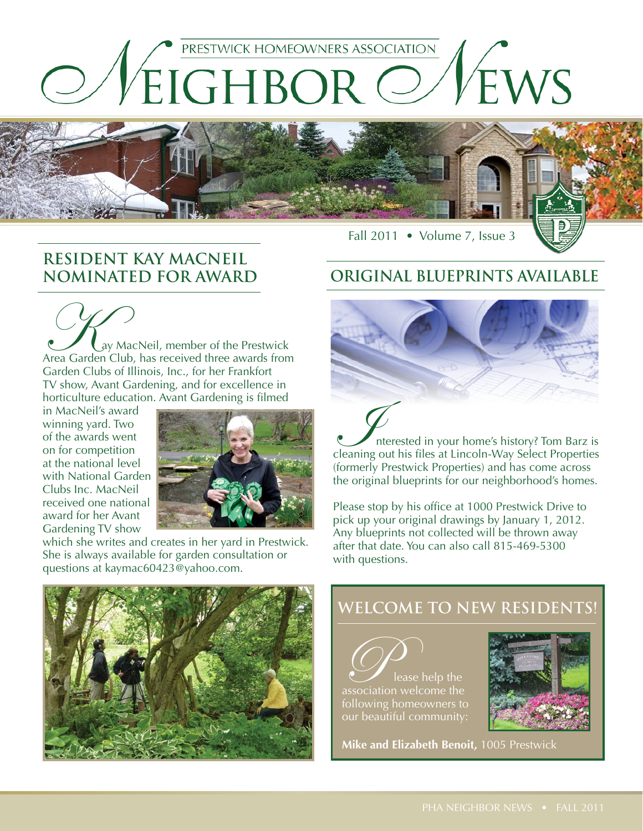



# **RESIDENT KAY MACNEIL**

**CAN**<br>Area Garden Club, has received three awards from Garden Clubs of Illinois, Inc., for her Frankfort TV show, Avant Gardening, and for excellence in horticulture education. Avant Gardening is filmed

in MacNeil's award winning yard. Two of the awards went on for competition at the national level with National Garden Clubs Inc. MacNeil received one national award for her Avant Gardening TV show



which she writes and creates in her yard in Prestwick. She is always available for garden consultation or questions at kaymac60423@yahoo.com.

#### **NOMINATED FOR AWARD ORIGINAL BLUEPRINTS AVAILABLE**



Interested in your home's history? Tom Barz is cleaning out his files at Lincoln-Way Select Properties (formerly Prestwick Properties) and has come across the original blueprints for our neighborhood's homes.

Please stop by his office at 1000 Prestwick Drive to pick up your original drawings by January 1, 2012. Any blueprints not collected will be thrown away after that date. You can also call 815-469-5300 with questions.



### **Welcome to New residents!**

Please help the association welcome the following homeowners to our beautiful community:



**Mike and Elizabeth Benoit,** 1005 Prestwick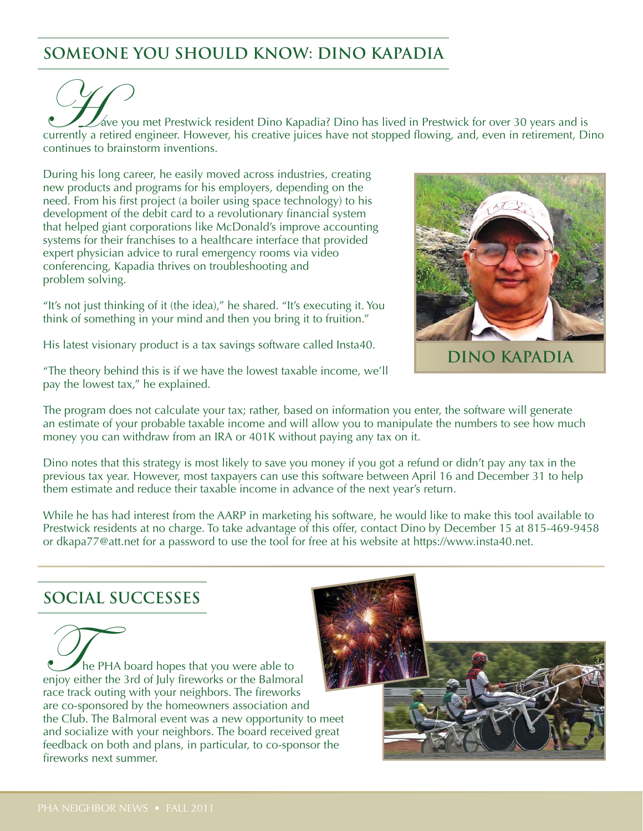### **SOMEONE YOU SHOULD KNOW: DINO KAPADIA**

 $\mathbb Z$ áve you met Prestwick resident Dino Kapadia? Dino has lived in Prestwick for over 30 years and is currently a retired engineer. However, his creative juices have not stopped flowing, and, even in retirement, Dino continues to brainstorm inventions.

During his long career, he easily moved across industries, creating new products and programs for his employers, depending on the need. From his first project (a boiler using space technology) to his development of the debit card to a revolutionary financial system that helped giant corporations like McDonald's improve accounting systems for their franchises to a healthcare interface that provided expert physician advice to rural emergency rooms via video conferencing, Kapadia thrives on troubleshooting and problem solving.

"It's not just thinking of it (the idea)," he shared. "It's executing it. You think of something in your mind and then you bring it to fruition."

His latest visionary product is a tax savings software called Insta40.



**DINO KAPADIA**

"The theory behind this is if we have the lowest taxable income, we'll pay the lowest tax," he explained.

The program does not calculate your tax; rather, based on information you enter, the software will generate an estimate of your probable taxable income and will allow you to manipulate the numbers to see how much money you can withdraw from an IRA or 401K without paying any tax on it.

Dino notes that this strategy is most likely to save you money if you got a refund or didn't pay any tax in the previous tax year. However, most taxpayers can use this software between April 16 and December 31 to help them estimate and reduce their taxable income in advance of the next year's return.

While he has had interest from the AARP in marketing his software, he would like to make this tool available to Prestwick residents at no charge. To take advantage of this offer, contact Dino by December 15 at 815-469-9458 or dkapa77@att.net for a password to use the tool for free at his website at https://www.insta40.net.

#### **Social Successes**

The PHA board hopes that you were able to enjoy either the 3rd of July fireworks or the Balmoral race track outing with your neighbors. The fireworks are co-sponsored by the homeowners association and the Club. The Balmoral event was a new opportunity to meet and socialize with your neighbors. The board received great feedback on both and plans, in particular, to co-sponsor the fireworks next summer.